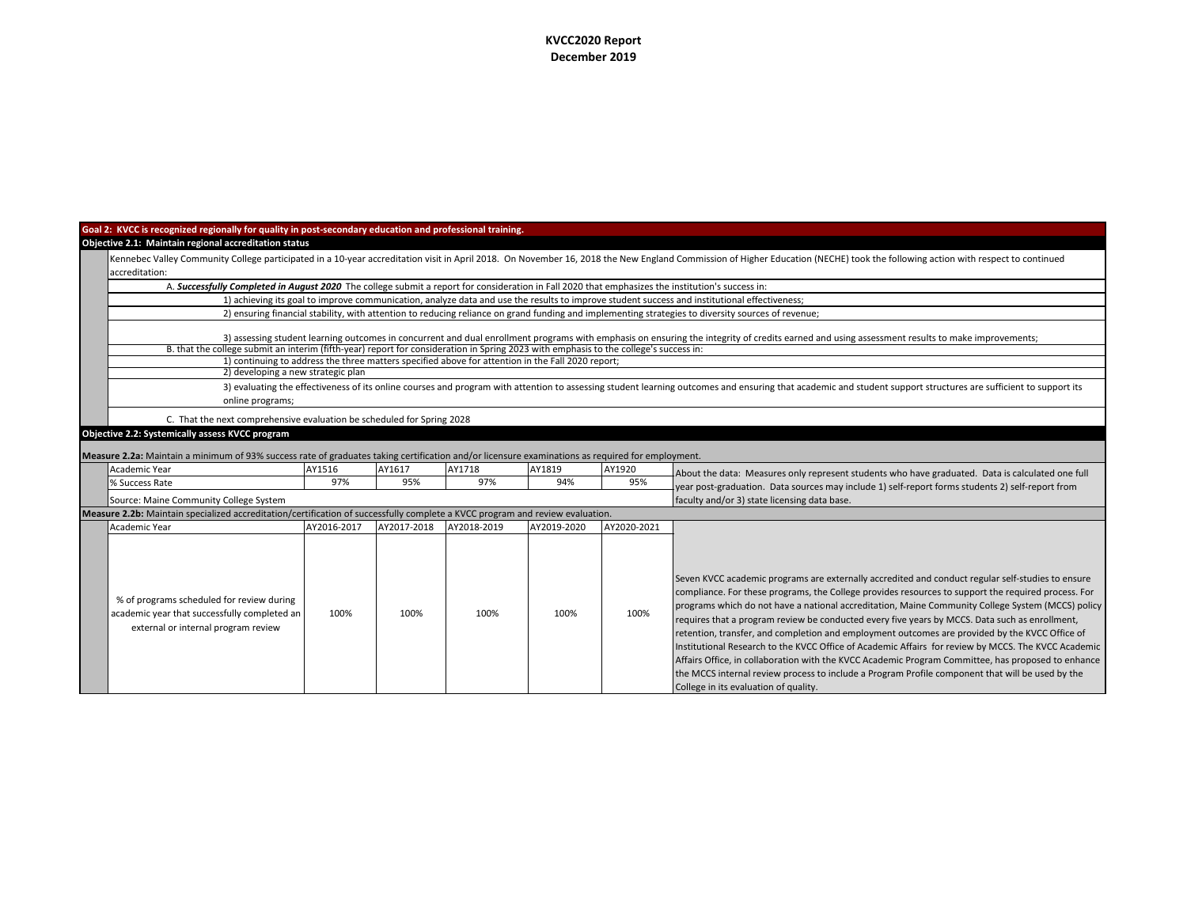## **KVCC2020 Report December 2019**

## **Goal 2: KVCC is recognized regionally for quality in post-secondary education and professional training. Objective 2.1: Maintain regional accreditation status**

| espective E.E. Thumtum regional accreatation status<br>Kennebec Valley Community College participated in a 10-year accreditation visit in April 2018. On November 16, 2018 the New England Commission of Higher Education (NECHE) took the following action with respect to continued<br>laccreditation:                                |                                                                                                                                                                                                                 |        |        |        |        |                                                                                                  |  |  |  |
|-----------------------------------------------------------------------------------------------------------------------------------------------------------------------------------------------------------------------------------------------------------------------------------------------------------------------------------------|-----------------------------------------------------------------------------------------------------------------------------------------------------------------------------------------------------------------|--------|--------|--------|--------|--------------------------------------------------------------------------------------------------|--|--|--|
| A. Successfully Completed in August 2020 The college submit a report for consideration in Fall 2020 that emphasizes the institution's success in:                                                                                                                                                                                       |                                                                                                                                                                                                                 |        |        |        |        |                                                                                                  |  |  |  |
| 1) achieving its goal to improve communication, analyze data and use the results to improve student success and institutional effectiveness;                                                                                                                                                                                            |                                                                                                                                                                                                                 |        |        |        |        |                                                                                                  |  |  |  |
| 2) ensuring financial stability, with attention to reducing reliance on grand funding and implementing strategies to diversity sources of revenue;                                                                                                                                                                                      |                                                                                                                                                                                                                 |        |        |        |        |                                                                                                  |  |  |  |
| 3) assessing student learning outcomes in concurrent and dual enrollment programs with emphasis on ensuring the integrity of credits earned and using assessment results to make improvements;<br>B. that the college submit an interim (fifth-year) report for consideration in Spring 2023 with emphasis to the college's success in: |                                                                                                                                                                                                                 |        |        |        |        |                                                                                                  |  |  |  |
| 1) continuing to address the three matters specified above for attention in the Fall 2020 report;                                                                                                                                                                                                                                       |                                                                                                                                                                                                                 |        |        |        |        |                                                                                                  |  |  |  |
| 2) developing a new strategic plan                                                                                                                                                                                                                                                                                                      |                                                                                                                                                                                                                 |        |        |        |        |                                                                                                  |  |  |  |
| online programs;                                                                                                                                                                                                                                                                                                                        | 3) evaluating the effectiveness of its online courses and program with attention to assessing student learning outcomes and ensuring that academic and student support structures are sufficient to support its |        |        |        |        |                                                                                                  |  |  |  |
| C. That the next comprehensive evaluation be scheduled for Spring 2028                                                                                                                                                                                                                                                                  |                                                                                                                                                                                                                 |        |        |        |        |                                                                                                  |  |  |  |
| Objective 2.2: Systemically assess KVCC program                                                                                                                                                                                                                                                                                         |                                                                                                                                                                                                                 |        |        |        |        |                                                                                                  |  |  |  |
| Measure 2.2a: Maintain a minimum of 93% success rate of graduates taking certification and/or licensure examinations as required for employment.                                                                                                                                                                                        |                                                                                                                                                                                                                 |        |        |        |        |                                                                                                  |  |  |  |
| Academic Year                                                                                                                                                                                                                                                                                                                           | AY1516                                                                                                                                                                                                          | AY1617 | AY1718 | AY1819 | AY1920 | About the data: Measures only represent students who have graduated. Data is calculated one full |  |  |  |
| % Success Rate                                                                                                                                                                                                                                                                                                                          | 97%                                                                                                                                                                                                             | 95%    | 97%    | 94%    | 95%    | year post-graduation. Data sources may include 1) self-report forms students 2) self-report from |  |  |  |
| faculty and/or 3) state licensing data base.<br>Source: Maine Community College System                                                                                                                                                                                                                                                  |                                                                                                                                                                                                                 |        |        |        |        |                                                                                                  |  |  |  |
| Measure 2.2b: Maintain specialized accreditation/certification of successfully complete a KVCC program and review evaluation.                                                                                                                                                                                                           |                                                                                                                                                                                                                 |        |        |        |        |                                                                                                  |  |  |  |

| <b>Measure 2.2b:</b> Maintain specialized accreditation/certification of successfully complete a KVCC program and review evaluation. |             |             |             |             |             |                                                                                                                                                                                                                                                                                                                                                                                                                                                                                                                                                                                                                                                                                                                                                                                                                                                                             |  |
|--------------------------------------------------------------------------------------------------------------------------------------|-------------|-------------|-------------|-------------|-------------|-----------------------------------------------------------------------------------------------------------------------------------------------------------------------------------------------------------------------------------------------------------------------------------------------------------------------------------------------------------------------------------------------------------------------------------------------------------------------------------------------------------------------------------------------------------------------------------------------------------------------------------------------------------------------------------------------------------------------------------------------------------------------------------------------------------------------------------------------------------------------------|--|
| Academic Year                                                                                                                        | AY2016-2017 | AY2017-2018 | AY2018-2019 | AY2019-2020 | AY2020-2021 |                                                                                                                                                                                                                                                                                                                                                                                                                                                                                                                                                                                                                                                                                                                                                                                                                                                                             |  |
| % of programs scheduled for review during<br>academic year that successfully completed an<br>external or internal program review     | 100%        | 100%        | 100%        | 100%        | 100%        | Seven KVCC academic programs are externally accredited and conduct regular self-studies to ensure<br>compliance. For these programs, the College provides resources to support the required process. For<br>programs which do not have a national accreditation, Maine Community College System (MCCS) policy<br>requires that a program review be conducted every five years by MCCS. Data such as enrollment,<br>retention, transfer, and completion and employment outcomes are provided by the KVCC Office of<br>Institutional Research to the KVCC Office of Academic Affairs for review by MCCS. The KVCC Academic<br>Affairs Office, in collaboration with the KVCC Academic Program Committee, has proposed to enhance<br>the MCCS internal review process to include a Program Profile component that will be used by the<br>College in its evaluation of quality. |  |